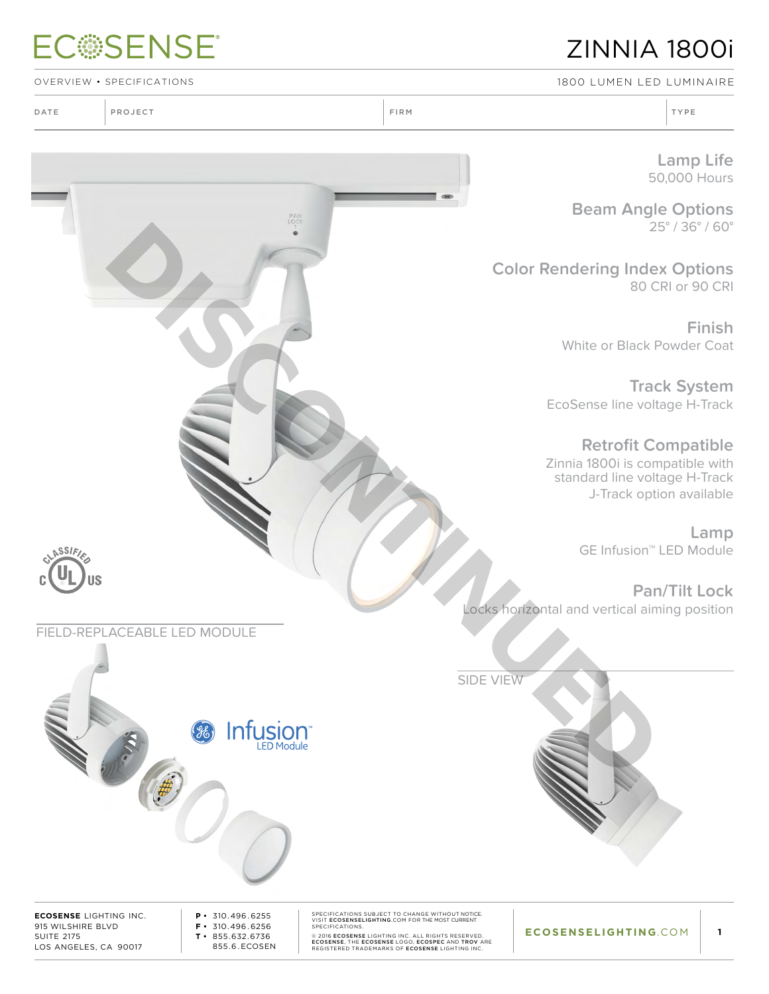## **ECSSENSE®**

## ZINNIA 1800i

OVERVIEW • SPECIFICATIONS 1800 Lumen LED Luminaire

DATE PROJECT TYPE RELATIONS IN TYPE RELATIONS IN THE RELATIONS OF THE RELATIONS OF THE RELATIONS OF THE RELATIONS OF THE RELATIONS OF THE RELATIONS OF THE RELATIONS OF THE RELATIONS OF THE RELATIONS OF THE RELATIONS OF THE

**Lamp Life** 50,000 Hours

**Beam Angle Options** 25° / 36° / 60°

**Color Rendering Index Options** 80 CRI or 90 CRI

> **Finish** White or Black Powder Coat

**Track System** EcoSense line voltage H-Track

**Retrofit Compatible** Zinnia 1800i is compatible with standard line voltage H-Track J-Track option available

> **Lamp**  GE Infusion™ LED Module

**Pan/Tilt Lock** Locks horizontal and vertical aiming position

SIDE VIEW



**ECOSENSE** LIGHTING INC. 915 WILSHIRE BLVD SUITE 2175 LOS ANGELES, CA 90017

ASSIFI

l\$

**P •** 310.496 . 6255 **F •** 310.496 . 6256 **T •** 855.632.6736 855.6 . ECOSEN

SPECIFICATIONS SUBJECT TO CHANGE WITHOUT NOTICE.<br>SPECIFICATIONS.<br>SPECIFICATIONS.<br>© 2016 ECOSENSE LIGHTING INC. ALL RIGHTS RESERVED.<br>ECOSENSE, THE ECOSENSE LOGO, ECOSEPE AND TROV ARE<br>REGISTERED TRADEMARKS OF ECOSENSE LIGHTI

**ECOSENSELIGHTING**.COM

**1**